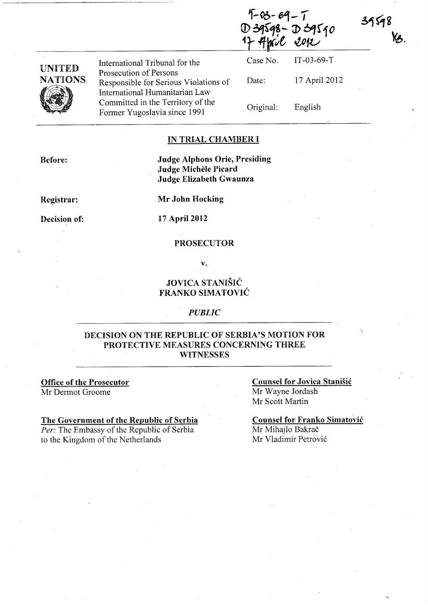$9 - 03 - 69 - 7$  $D39598 - D39590$ We sor

| UNITED  |
|---------|
| NATIONS |
|         |

International Tribunal for the Prosecution of Persons Responsible for Serious Violations of International Humanitarian Law Committed in the Territory of the Former Yugoslavia since 1991

Case No. Date: Original: IT-03-69-T 17 April 2012 English

### IN TRIAL CHAMBER I

Before:

## Judge Alphons Orie, Presiding Judge Michele Picard Judge Elizabeth Gwaunza

Registrar:

Mr John Hocking

Decision of:

17 April 2012

### PROSECUTOR

v.

## JOVICA STANISIC FRANKO SIMATOVIC

#### *PUBLIC*

## DECISION ON THE REPUBLIC OF SERBIA'S MOTION FOR PROTECTIVE MEASURES CONCERNING THREE **WITNESSES**

Office of the Prosecutor Mr Dermot Groome

### The Government of the Republic of Serbia

*Per:* The Embassy of the Republic of Serbia to the Kingdom of the Netherlands

Counsel for Jovica Stanišić Mr Wayne Jordash Mr Scott Martin

 $\overline{\phantom{a}}$ 

39598

KB.

Counsel for Franko Simatovic Mr Mihajlo Bakrač Mr Vladimir Petrović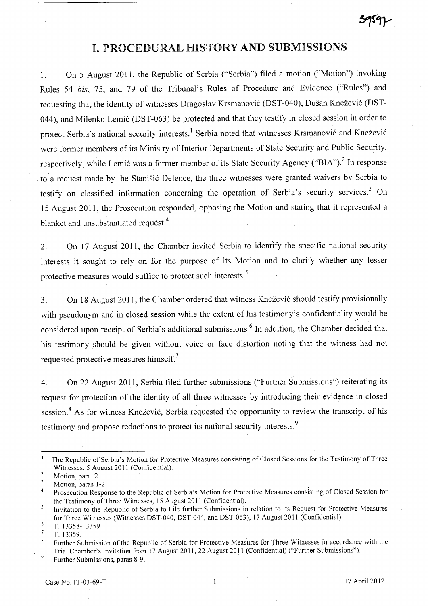# I. PROCEDURAL HISTORY AND SUBMISSIONS

l. On 5 August 2011, the Republic of Serbia ("Serbia") filed a motion ("Motion") invoking Rules 54 *bis,* 75, and 79 of the Tribunal's Rules of Procedure and Evidence ("Rules") and requesting that the identity of witnesses Dragoslav Krsmanović (DST-040), Dušan Knežević (DST-044), and Milenko Lemić (DST-063) be protected and that they testify in closed session in order to protect Serbia's national security interests.<sup>1</sup> Serbia noted that witnesses Krsmanović and Knežević were former members of its Ministry of Interior Departments of State Security and Public Security, respectively, while Lemić was a former member of its State Security Agency ("BIA").<sup>2</sup> In response to a request made by the Stanišić Defence, the three witnesses were granted waivers by Serbia to testify on classified information concerning the operation of Serbia's security services.<sup>3</sup> On 15 August 2011, the Prosecution responded, opposing the Motion and stating that it represented a blanket and unsubstantiated request.<sup>4</sup>

2. On 17 August 2011, the Chamber invited Serbia to identify the specific national security interests it sought to rely on for the purpose of its Motion and to clarify whether any lesser protective measures would suffice to protect such interests.<sup>5</sup>

3. On 18 August 2011, the Chamber ordered that witness Knežević should testify provisionally with pseudonym and in closed session while the extent of his testimony's confidentiality would be considered upon receipt of Serbia's additional submissions. 6 In addition, the Chamber decided that his testimony should be given without voice or face distortion noting that the witness had not requested protective measures himself. <sup>7</sup>

4. On 22 August 2011, Serbia filed further submissions ("Further Submissions") reiterating its request for protection of the identity of all three witnesses by introducing their evidence in closed session.<sup>8</sup> As for witness Knežević, Serbia requested the opportunity to review the transcript of his testimony and propose redactions to protect its national security interests.<sup>9</sup>

<sup>&</sup>lt;sup>1</sup> The Republic of Serbia's Motion for Protective Measures consisting of Closed Sessions for the Testimony of Three Witnesses, 5 August 2011 (Confidential).

 $\overline{2}$ Motion, para. 2.

<sup>3</sup> Motion, paras 1-2.

<sup>&</sup>lt;sup>4</sup> Prosecution Response to the Republic of Serbia's Motion for Protective Measures consisting of Closed Session for the Testimony of Three Witnesses, 15 August 2011 (Confidential).

<sup>5</sup> Invitation to the Republic of Serbia to File further Submissions in relation to its Request for Protective Measures for Three Witnesses (Witnesses DST-040, DST-044, and DST-063), 17 August 2011 (Confidential).

 $\frac{6}{7}$  T. 13358-13359.

T.13359.

 $\bf 8$ Further Submission of the Republic of Serbia for Protective Measures for Three Witnesses in accordance with the Trial Chamber's Invitation from 17 August 2011, 22 August 2011 (Confidential) ("Further Submissions"). 9

Further Submissions, paras 8-9.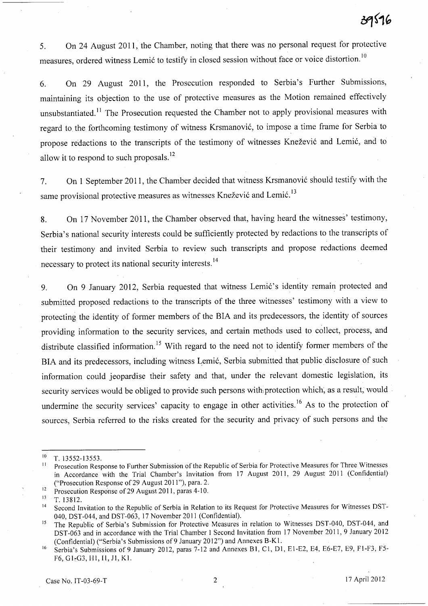5. On 24 August 2011, the Chamber, noting that there was no personal request for protective measures, ordered witness Lemić to testify in closed session without face or voice distortion.<sup>10</sup>

6. On 29 August 2011, the Prosecution responded to Serbia's Further Submissions, maintaining its objection to the use of protective measures as the Motion remained effectively unsubstantiated.<sup>11</sup> The Prosecution requested the Chamber not to apply provisional measures with regard to the forthcoming testimony of witness Krsmanović, to impose a time frame for Serbia to propose redactions to the transcripts of the testimony of witnesses Knežević and Lemić, and to allow it to respond to such proposals. 12

7. On 1 September **2011,** the Chamber decided that witness Krsmanovi6 should testify with the same provisional protective measures as witnesses Knežević and Lemić.<sup>13</sup>

8. On 17 November 2011, the Chamber observed that, having heard the witnesses' testimony, Serbia's national security interests could be sufficiently protected by redactions to the transcripts of their testimony and invited Serbia to review such transcripts and propose redactions deemed necessary to protect its national security interests. 14

9. On 9 January 2012, Serbia requested that witness Lemic's identity remain protected and submitted proposed redactions to the transcripts of the three witnesses' testimony with a view to protecting the identity of former members of the BIA and its predecessors, the identity of sources providing information to the security services, and certain methods used to collect, process, and distribute classified information.<sup>15</sup> With regard to the need not to identify former members of the BIA and its predecessors, including witness Lemić, Serbia submitted that public disclosure of such information could jeopardise their safety and that, under the relevant domestic legislation, its security services would be obliged to provide such persons with protection which, as a result, would undermine the security services' capacity to engage in other activities.<sup>16</sup> As to the protection of sources, Serbia referred to the risks created for the security and privacy of such persons and the

 $10$  T. 13552-13553.

<sup>11</sup> Prosecution Response to Further Submission of the Republic of Serbia for Protective Measures for Three Witnesses in Accordance with the Trial Chamber's Invitation from 17 August 2011, 29 August 2011 (Confidential) ("Prosecution Response of 29 August 2011 "), para. 2.

<sup>&</sup>lt;sup>12</sup> Prosecution Response of 29 August 2011, paras 4-10.<br><sup>13</sup>  $\pm 7.13912$ 

<sup>\3</sup> T.13812.

<sup>&</sup>lt;sup>14</sup> Second Invitation to the Republic of Serbia in Relation to its Request for Protective Measures for Witnesses DST-040, DST-044, and DST-063, 17 November 2011 (Confidential).

<sup>&</sup>lt;sup>15</sup> The Republic of Serbia's Submission for Protective Measures in relation to Witnesses DST-040, DST-044, and DST-063 and in accordance with the Trial Chamber I Second Invitation from 17 November 2011, 9 January 2012 (Confidential) ("Serbia's Submissions of9 January 2012") and Annexes B-Kl.

<sup>&</sup>lt;sup>16</sup> Serbia's Submissions of 9 January 2012, paras 7-12 and Annexes B1, C1, D1, E1-E2, E4, E6-E7, E9, F1-F3, F5-F6, G1, G3, H1, I1, J1, K1.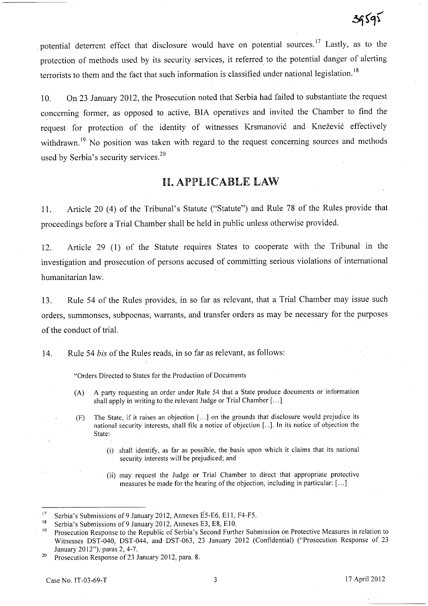potential deterrent effect that disclosure would have on potential sources.<sup>17</sup> Lastly, as to the protection of methods used by its security services, it referred to the potential danger of alerting terrorists to them and the fact that such information is classified under national legislation.<sup>18</sup>

10. On 23 January 2012, the Prosecution noted that Serbia had failed to substantiate the request concerning former, as opposed to active, BIA operatives and invited the Chamber to find the request for protection of the identity of witnesses Krsmanović and Knežević effectively withdrawn.<sup>19</sup> No position was taken with regard to the request concerning sources and methods used by Serbia's security services.2o

# **11.** APPLICABLE LAW

11. Article 20 (4) of the Tribunal's Statute ("Statute") and Rule 78 of the Rules provide that proceedings before a Trial Chamber shall be held in public unless otherwise provided.

12. Article 29 (1) of the Statute requires States to cooperate with the Tribunal in the investigation and prosecution of persons accused of committing serious violations of international humanitarian law.

13. Rule 54 of the Rules provides, in so far as relevant, that a Trial Chamber may issue such orders, summonses, subpoenas, warrants, and transfer orders as may be necessary for the purposes of the conduct of trial.

14. Rule 54 *bis* of the Rules reads, in so far as relevant, as follows:

"Orders Directed to States for the Production of Documents

- (A) A party requesting an order under Rule 54 that a State produce documents or information shall apply in writing to the relevant Judge or Trial Chamber [ ... ]
- (F) The State, if it raises an objection [ ... ] on the grounds that disclosure would prejudice its national security interests, shall file a notice of objection [...]. In its notice of objection the State;
	- (i) shall identify, as far as possible, the basis upon which it claims that its national security interests will be prejudiced; and
	- (ii) may request the Judge or Trial Chamber to direct that appropriate protective measures be made for the hearing of the objection, including in particular: [ ... ]

<sup>&</sup>lt;sup>17</sup> Serbia's Submissions of 9 January 2012, Annexes E5-E6, E11, F4-F5.

Serbia's Submissions of 9 January 2012, Annexes E3, E8, E10.

<sup>&</sup>lt;sup>19</sup> Prosecution Response to the Republic of Serbia's Second Further Submission on Protective Measures in relation to Witnesses DST-040, DST-044, and DST-063, 23 January 2012 (Confidential) ("Prosecution Response of 23 January 2012"); paras 2, 4-7.

<sup>&</sup>lt;sup>20</sup> Prosecution Response of 23 January 2012, para. 8.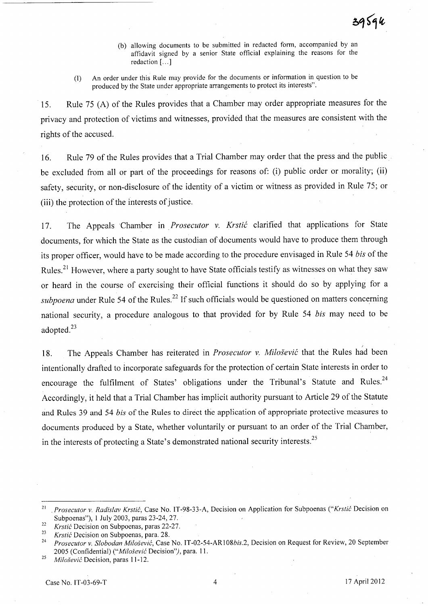- (b) allowing documents to be submitted in redacted form, accompanied by an affidavit signed by a senior State official explaining the reasons for the redaction  $[\dots]$
- (I) An order under this Rule may provide for the documents or information in question to be produced by the State under appropriate arrangements to protect its interests".

15. Rule 75 (A) of the Rules provides that a Chamber may order appropriate measures for the privacy and protection of victims and witnesses, provided that the measures are consistent with the rights of the accused.

16. Rule 79 of the Rules provides that a Trial Chamber may order that the press and the public be excluded from all or part of the proceedings for reasons of: (i) public order or morality; (ii) safety, security, or non-disclosure of the identity of a victim or witness as provided in Rule 75; or (iii) the protection of the interests of justice.

17. The Appeals Chamber in. *Prosecutor* v. *Krstic* clarified that applications for State documents, for which the State as the custodian of documents would have to produce them through its proper officer, would have to be made according to the procedure envisaged in Rule 54 *bis* of the Rules.<sup>21</sup> However, where a party sought to have State officials testify as witnesses on what they saw or heard in the course of exercising their official functions it should do so by applying for a *subpoena* under Rule 54 of the Rules.<sup>22</sup> If such officials would be questioned on matters concerning national security, a procedure analogous to that provided for by Rule 54 *bis* may need to be adopted.<sup>23</sup>

; 18. The Appeals Chamber has reiterated in *Prosecutor* v. *Milosevic* that the Rules had been intentionally drafted to incorporate safeguards for the protection of certain State interests in order to encourage the fulfilment of States' obligations under the Tribunal's Statute and Rules.<sup>24</sup> Accordingly, it held that a Trial Chamber has implicit authority pursuant to Article 29 of the Statute and Rules 39 and 54 *his* of the Rules to direct the application of appropriate protective measures to documents produced by a State, whether voluntarily or pursuant to an order of the Trial Chamber, in the interests of protecting a State's demonstrated national security interests. <sup>25</sup>

<sup>21 .</sup> *Prosecutor* v. *Radislav Krstic,* Case No. IT-98-33-A, Decision on Application for Subpoenas *("Krstic* Decision on Subpoenas"), 1 July 2003, paras 23-24, 27.

<sup>22</sup>*Krstic* Decision on Subpoenas, paras 22-27.

*<sup>23</sup> Krstic* Decision on Subpoenas, para. 28.

<sup>24</sup>*Prosecutor* v. *Slobodan Milosevic,* Case No. IT-02-54-AR108bis.2, Decision on Request for Review, 20 September 2005 (Confidential) *("Milosevic* Decision"), para. 11.

*<sup>25</sup> Milosevic* Decision, paras 11-12.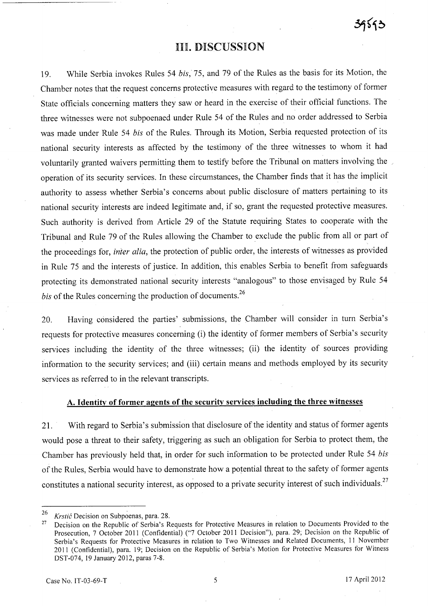# **III. DISCUSSION**

19. While Serbia invokes Rules 54 *his,* 75, and 79 of the Rules as the basis for its Motion, the Chamber notes that the request concerns protective measures with regard to the testimony of former State officials concerning matters they saw or heard in the exercise of their official functions. The three witnesses were not subpoenaed under Rule 54 of the Rules and no order addressed to Serbia was made under Rule 54 *his* of the Rules. Through its Motion, Serbia requested protection of its national security interests as affected by the testimony of the three witnesses to whom it had voluntarily granted waivers permitting them to testify before the Tribunal on matters involving the operation of its security services. In these circumstances, the Chamber finds that it has the implicit authority to assess whether Serbia's concerns about public disclosure of matters pertaining to its national security interests are indeed legitimate and, if so, grant the requested protective measures. Such authority is derived from Article 29 of the Statute requiring States to cooperate with the Tribunal and Rule 79 of the Rules allowing the Chamber to exclude the public from all or part of the proceedings for, *inter alia,* the protection of public order, the interests of witnesses as provided in Rule 75 and the interests of justice. In addition, this enables Serbia to benefit from safeguards protecting its demonstrated national security interests "analogous" to those envisaged by Rule 54 *his* of the Rules concerning the production of documents. <sup>26</sup>

20. Having considered the parties' submissions, the Chamber will consider in turn Serbia's requests for protective measures concerning (i) the identity of former members of Serbia's security services including the identity of the three witnesses; (ii) the identity of sources providing information to the security services; and (iii) certain means and methods employed by its security services as referred to in the relevant transcripts.

## A. Identity of former agents of the security services including the three witnesses

2l. With regard to Serbia's submission that disclosure of the identity and status of former agents would pose a threat to their safety, triggering as such an obligation for Serbia to protect them, the Chamber has previously held that, in order for such information to be protected under Rule 54 *his*  of the Rules, Serbia would have to demonstrate how a potential threat to the safety of former agents constitutes a national security interest, as opposed to a private security interest of such individuals.<sup>27</sup>

<sup>26</sup>*Krstic* Decision on Subpoenas, para. 28.

<sup>&</sup>lt;sup>27</sup> Decision on the Republic of Serbia's Requests for Protective Measures in relation to Documents Provided to the Prosecution, 7 October 2011 (Confidential) ("7 October 2011 Decision"), para. 29; Decision on the Republic of Serbia's Requests for Protective Measures in relation to Two Witnesses and Related Documents, 11 November 2011 (Confidential), para. 19; Decision on the Republic of Serbia's Motion for Protective Measures for Witness DST-074, 19 January 2012, paras 7-8.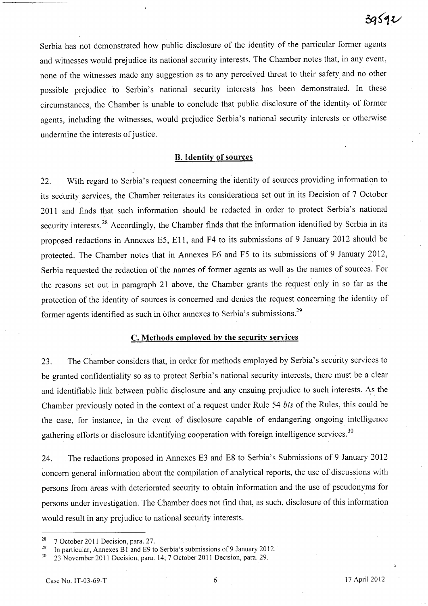Serbia has not demonstrated how public disclosure of the identity of the particular former agents and witnesses would prejudice its national security interests. The Chamber notes that, in any event, none of the witnesses made any suggestion as to any perceived threat to their safety and no other possible prejudice to Serbia's national security interests has been demonstrated. In these circumstances, the Chamber is unable to conclude that public disclosure of the identity of former agents, including the witnesses, would prejudice Serbia's national security interests or otherwise undermine the interests of justice.

### B. **Identity of sources**

22. With regard to Serbia's request concerning the' identity of sources providing information to its security services, the Chamber reiterates its considerations set out in its Decision of 7 October 2011 and finds that such information should be redacted in order to protect Serbia's national security interests.<sup>28</sup> Accordingly, the Chamber finds that the information identified by Serbia in its proposed redactions in Annexes E5, E11, and F4 to its submissions of 9 January 2012 should be protected. The Chamber notes that in Annexes E6 and F5 to its submissions of 9 January 2012, Serbia requested the redaction of the names of former agents as well as the names of sources. For the reasons set out in paragraph 21 above, the Chamber grants the request only in so far as the protection of the identity of sources is concerned and denies the request concerning the identity of former agents identified as such in other annexes to Serbia's submissions.<sup>29</sup>

### C. **Methods employed by the security services**

23. The Chamber considers that, in order for methods employed by Serbia's security services to be granted confidentiality so as to protect Serbia's national security interests, there must be a clear and identifiable link between public disclosure and any ensuing prejudice to such interests. As the Chamber previously noted in the context of a request under Rule 54 *bis* of the Rules, this could be the case, for instance, in the event of disclosure capable of endangering ongoing intelligence gathering efforts or disclosure identifying cooperation with foreign intelligence services.<sup>30</sup>

24. The redactions proposed in Annexes E3 and E8 to Serbia's Submissions of 9 January 2012 concern general information about the compilation of analytical reports, the use of discussions with persons from areas with deteriorated security to obtain information and the use of pseudonyms for persons under investigation. The Chamber does not find that, as such, disclosure of this information would result in any prejudice to national security interests.

 $28$  7 October 2011 Decision, para. 27.

<sup>&</sup>lt;sup>29</sup> In particular, Annexes B<sub>1</sub> and E9 to Serbia's submissions of 9 January 2012.

<sup>30 23</sup> November 2011 Decision, para. 14; 7 October 2011 Decision, para. 29.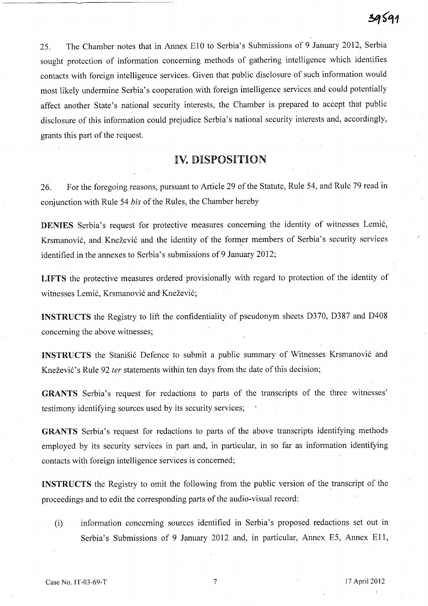25. The Chamber notes that in Annex E10 to Serbia's Submissions of 9 January 2012, Serbia sought protection of information concerning methods of gathering intelligence which identifies contacts with foreign intelligence services. Given that public disclosure of such information would most likely undermine Serbia's cooperation with foreign intelligence services and could potentially affect another State's national security interests, the Chamber is- prepared to accept that public disclosure of this information could prejudice Serbia's national security interests and, accordingly, grants this part of the request.

# IV. DISPOSITION

26. For the foregoing reasons, pursuant to Article 29 of the Statute, Rule 54, and Rule 79 read in conjunction with Rule 54 *bis* of the Rules, the Chamber hereby

DENIES Serbia's request for protective measures concerning the identity of witnesses Lemi6, Krsmanović, and Knežević and the identity of the former members of Serbia's security services identified in the annexes to Serbia's submissions of 9 January 2012;

LIFTS the protective measures ordered provisionally with regard to protection of the identity of witnesses Lemić, Krsmanović and Knežević;

INSTRUCTS the Registry to lift the confidentiality of pseudonym sheets D370, D387 and D408 concerning the above witnesses;

INSTRUCTS the Stanišić Defence to submit a public summary of Witnesses Krsmanović and Knežević's Rule 92 *ter* statements within ten days from the date of this decision;

GRANTS Serbia's request for redactions to parts of the transcripts of the three witnesses' testimony identifying sources used by its security services;

GRANTS Serbia's request for redactions to parts of the above transcripts identifying methods employed by its security services in part and, in particular, in so far as information identifying contacts with foreign intelligence services is concerned;

**INSTRUCTS** the Registry to omit the following from the public version of the transcript of the proceedings and to edit the corresponding parts of the audio-visual record:

(i) information concerning sources identified in Serbia's proposed redactions set out in Serbia's Submissions of 9 January 2012 and, in particular, Annex E5, Annex Ell,